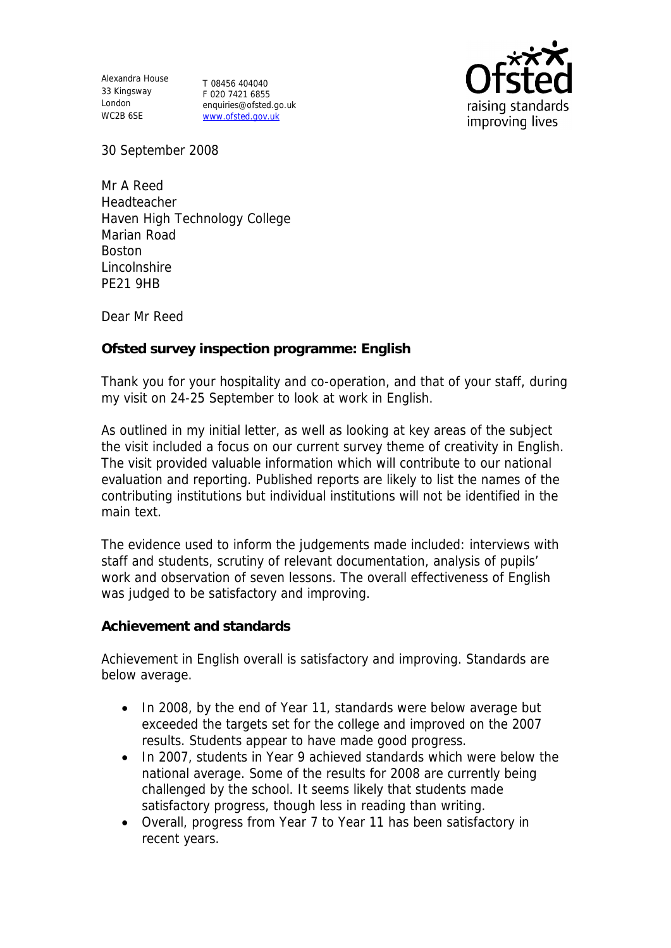Alexandra House 33 Kingsway London WC2B 6SE

T 08456 404040 F 020 7421 6855 enquiries@ofsted.go.uk www.ofsted.gov.uk



30 September 2008

Mr A Reed Headteacher Haven High Technology College Marian Road Boston Lincolnshire PE21 9HB

Dear Mr Reed

**Ofsted survey inspection programme: English** 

Thank you for your hospitality and co-operation, and that of your staff, during my visit on 24-25 September to look at work in English.

As outlined in my initial letter, as well as looking at key areas of the subject the visit included a focus on our current survey theme of creativity in English. The visit provided valuable information which will contribute to our national evaluation and reporting. Published reports are likely to list the names of the contributing institutions but individual institutions will not be identified in the main text.

The evidence used to inform the judgements made included: interviews with staff and students, scrutiny of relevant documentation, analysis of pupils' work and observation of seven lessons. The overall effectiveness of English was judged to be satisfactory and improving.

**Achievement and standards** 

Achievement in English overall is satisfactory and improving. Standards are below average.

- In 2008, by the end of Year 11, standards were below average but exceeded the targets set for the college and improved on the 2007 results. Students appear to have made good progress.
- In 2007, students in Year 9 achieved standards which were below the national average. Some of the results for 2008 are currently being challenged by the school. It seems likely that students made satisfactory progress, though less in reading than writing.
- Overall, progress from Year 7 to Year 11 has been satisfactory in recent years.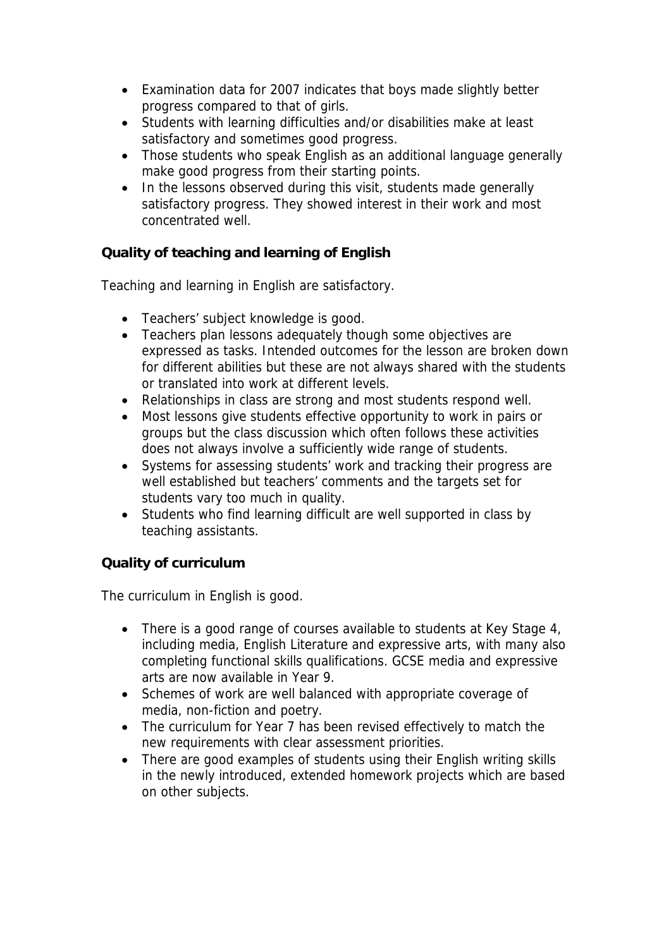- Examination data for 2007 indicates that boys made slightly better progress compared to that of girls.
- Students with learning difficulties and/or disabilities make at least satisfactory and sometimes good progress.
- Those students who speak English as an additional language generally make good progress from their starting points.
- In the lessons observed during this visit, students made generally satisfactory progress. They showed interest in their work and most concentrated well.

**Quality of teaching and learning of English**

Teaching and learning in English are satisfactory.

- Teachers' subject knowledge is good.
- Teachers plan lessons adequately though some objectives are expressed as tasks. Intended outcomes for the lesson are broken down for different abilities but these are not always shared with the students or translated into work at different levels.
- Relationships in class are strong and most students respond well.
- Most lessons give students effective opportunity to work in pairs or groups but the class discussion which often follows these activities does not always involve a sufficiently wide range of students.
- Systems for assessing students' work and tracking their progress are well established but teachers' comments and the targets set for students vary too much in quality.
- Students who find learning difficult are well supported in class by teaching assistants.

## **Quality of curriculum**

The curriculum in English is good.

- There is a good range of courses available to students at Key Stage 4, including media, English Literature and expressive arts, with many also completing functional skills qualifications. GCSE media and expressive arts are now available in Year 9.
- Schemes of work are well balanced with appropriate coverage of media, non-fiction and poetry.
- The curriculum for Year 7 has been revised effectively to match the new requirements with clear assessment priorities.
- There are good examples of students using their English writing skills in the newly introduced, extended homework projects which are based on other subjects.